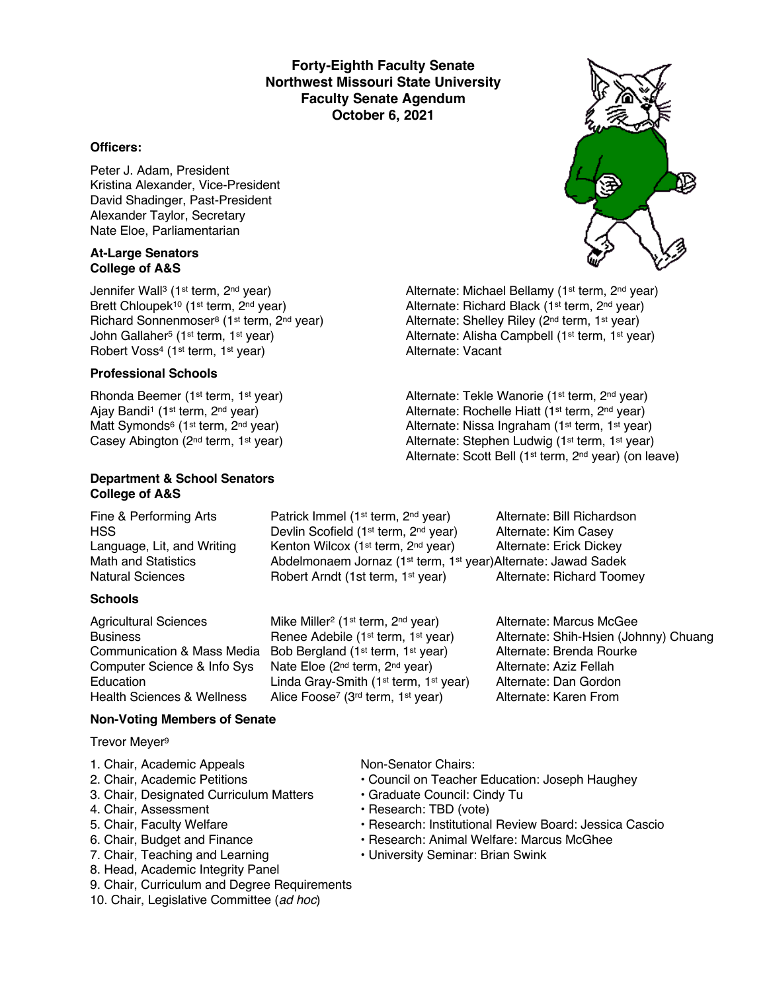**Forty-Eighth Faculty Senate Northwest Missouri State University Faculty Senate Agendum October 6, 2021**

#### **Officers:**

Peter J. Adam, President Kristina Alexander, Vice-President David Shadinger, Past-President Alexander Taylor, Secretary Nate Eloe, Parliamentarian

#### **At-Large Senators College of A&S**

Jennifer Wall<sup>3</sup> (1<sup>st</sup> term, 2<sup>nd</sup> year) <br>Brett Chloupek<sup>10</sup> (1<sup>st</sup> term, 2<sup>nd</sup> year) Alternate: Richard Black (1<sup>st</sup> term, 2<sup>nd</sup> year) Richard Sonnenmoser<sup>8</sup> (1<sup>st</sup> term, 2<sup>nd</sup> year) Alternate: Shelley Riley (2<sup>nd</sup> term, 1<sup>st</sup> year) John Gallaher<sup>5</sup> (1st term, 1st year) Alternate: Alisha Campbell (1st term, 1st year)<br>
Alternate: Vacant<br>
Alternate: Vacant Robert Voss<sup>4</sup> (1<sup>st</sup> term, 1<sup>st</sup> year)

#### **Professional Schools**

Rhonda Beemer (1<sup>st</sup> term, 1<sup>st</sup> year) Alternate: Tekle Wanorie (1<sup>st</sup> term, 2<sup>nd</sup> year) Ajay Bandi<sup>1</sup> (1<sup>st</sup> term, 2<sup>nd</sup> year) Alternate: Rochelle Hiatt (1<sup>st</sup> term, 2<sup>nd</sup> year) Matt Symonds<sup>6</sup> (1<sup>st</sup> term, 2<sup>nd</sup> year) <br>Casey Abington (2<sup>nd</sup> term, 1<sup>st</sup> year) <br>Alternate: Stephen Ludwig (1<sup>st</sup> term, 1<sup>st</sup> year)

#### **Department & School Senators College of A&S**

#### **Schools**

Agricultural Sciences Mike Miller<sup>2</sup> (1<sup>st</sup> term, 2<sup>nd</sup> year) Alternate: Marcus McGee Communication & Mass Media Bob Bergland (1st term, 1st year) Alternate: Brenda Rourke Computer Science & Info Sys Nate Eloe (2<sup>nd</sup> term, 2<sup>nd</sup> year) Alternate: Aziz Fellah<br>Education Linda Grav-Smith (1<sup>st</sup> term, 1<sup>st</sup> year) Alternate: Dan Gordon Education Linda Gray-Smith (1<sup>st</sup> term, 1<sup>st</sup> year) Alternate: Dan Gordon<br>Health Sciences & Wellness Alice Foose<sup>7</sup> (3<sup>rd</sup> term, 1<sup>st</sup> year) Alternate: Karen From

#### Fine & Performing Arts **Patrick Immel (1st term, 2nd year)** Alternate: Bill Richardson HSS **EXECUTE:** Devlin Scofield (1<sup>st</sup> term, 2<sup>nd</sup> year) Alternate: Kim Casey Language, Lit, and Writing Kenton Wilcox (1<sup>st</sup> term, 2<sup>nd</sup> year) Alternate: Erick Dickey Math and Statistics **Abdelmonaem Jornaz (1st term, 1st year)Alternate: Jawad Sadek** Natural Sciences **Robert Arndt (1st term, 1st year)** Alternate: Richard Toomey

Business **Renee Adebile (1st term, 1st year)** Alternate: Shih-Hsien (Johnny) Chuang

#### **Non-Voting Members of Senate**

Trevor Meyer9

- 1. Chair, Academic Appeals Non-Senator Chairs:
- 
- 3. Chair, Designated Curriculum Matters Graduate Council: Cindy Tu
- 
- 
- 
- 
- 8. Head, Academic Integrity Panel
- 9. Chair, Curriculum and Degree Requirements
- 10. Chair, Legislative Committee (*ad hoc*)

Alice Foose<sup>7</sup> (3<sup>rd</sup> term, 1<sup>st</sup> year)

- 2. Chair, Academic Petitions Council on Teacher Education: Joseph Haughey
	-
- 4. Chair, Assessment **FRESEAR** Research: TBD (vote)
- 5. Chair, Faculty Welfare The State of Pessarch: Institutional Review Board: Jessica Cascio

Alternate: Richard Black (1st term, 2<sup>nd</sup> year)

Alternate: Stephen Ludwig (1st term, 1st year) Alternate: Scott Bell (1st term, 2nd year) (on leave)

- 6. Chair, Budget and Finance Research: Animal Welfare: Marcus McGhee
- 7. Chair, Teaching and Learning  **University Seminar: Brian Swink**

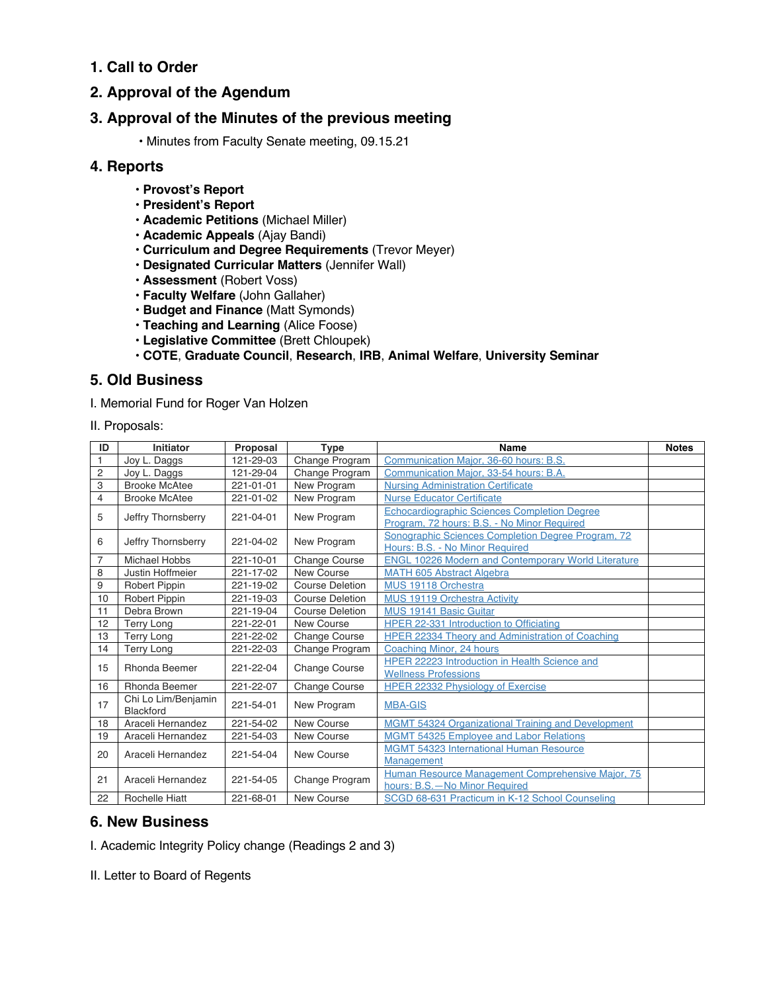### **1. Call to Order**

### **2. Approval of the Agendum**

### **3. Approval of the Minutes of the previous meeting**

• Minutes from Faculty Senate meeting, 09.15.21

#### **4. Reports**

- **Provost's Report**
- **President's Report**
- **Academic Petitions** (Michael Miller)
- **Academic Appeals** (Ajay Bandi)
- **Curriculum and Degree Requirements** (Trevor Meyer)
- **Designated Curricular Matters** (Jennifer Wall)
- **Assessment** (Robert Voss)
- **Faculty Welfare** (John Gallaher)
- **Budget and Finance** (Matt Symonds)
- **Teaching and Learning** (Alice Foose)
- **Legislative Committee** (Brett Chloupek)
- **COTE**, **Graduate Council**, **Research**, **IRB**, **Animal Welfare**, **University Seminar**

### **5. Old Business**

I. Memorial Fund for Roger Van Holzen

II. Proposals:

| ID             | Initiator                        | Proposal  | <b>Type</b>            | Name                                                       | <b>Notes</b> |
|----------------|----------------------------------|-----------|------------------------|------------------------------------------------------------|--------------|
| $\mathbf{1}$   | Joy L. Daggs                     | 121-29-03 | Change Program         | Communication Maior, 36-60 hours: B.S.                     |              |
| $\overline{c}$ | Joy L. Daggs                     | 121-29-04 | Change Program         | Communication Major, 33-54 hours: B.A.                     |              |
| 3              | <b>Brooke McAtee</b>             | 221-01-01 | New Program            | <b>Nursing Administration Certificate</b>                  |              |
| $\overline{4}$ | <b>Brooke McAtee</b>             | 221-01-02 | New Program            | <b>Nurse Educator Certificate</b>                          |              |
| 5              | Jeffry Thornsberry               | 221-04-01 | New Program            | <b>Echocardiographic Sciences Completion Degree</b>        |              |
|                |                                  |           |                        | Program, 72 hours: B.S. - No Minor Required                |              |
| 6              | Jeffry Thornsberry               | 221-04-02 | New Program            | Sonographic Sciences Completion Degree Program, 72         |              |
|                |                                  |           |                        | Hours: B.S. - No Minor Required                            |              |
| $\overline{7}$ | Michael Hobbs                    | 221-10-01 | <b>Change Course</b>   | <b>ENGL 10226 Modern and Contemporary World Literature</b> |              |
| 8              | Justin Hoffmeier                 | 221-17-02 | New Course             | <b>MATH 605 Abstract Algebra</b>                           |              |
| 9              | <b>Robert Pippin</b>             | 221-19-02 | <b>Course Deletion</b> | MUS 19118 Orchestra                                        |              |
| 10             | <b>Robert Pippin</b>             | 221-19-03 | <b>Course Deletion</b> | <b>MUS 19119 Orchestra Activity</b>                        |              |
| 11             | Debra Brown                      | 221-19-04 | Course Deletion        | MUS 19141 Basic Guitar                                     |              |
| 12             | Terry Long                       | 221-22-01 | New Course             | <b>HPER 22-331 Introduction to Officiating</b>             |              |
| 13             | <b>Terry Long</b>                | 221-22-02 | <b>Change Course</b>   | HPER 22334 Theory and Administration of Coaching           |              |
| 14             | <b>Terry Long</b>                | 221-22-03 | Change Program         | Coaching Minor, 24 hours                                   |              |
| 15             | <b>Rhonda Beemer</b>             | 221-22-04 | <b>Change Course</b>   | HPER 22223 Introduction in Health Science and              |              |
|                |                                  |           |                        | <b>Wellness Professions</b>                                |              |
| 16             | <b>Rhonda Beemer</b>             | 221-22-07 | <b>Change Course</b>   | <b>HPER 22332 Physiology of Exercise</b>                   |              |
| 17             | Chi Lo Lim/Benjamin<br>Blackford | 221-54-01 | New Program            | <b>MBA-GIS</b>                                             |              |
| 18             | Araceli Hernandez                | 221-54-02 | New Course             |                                                            |              |
|                |                                  |           |                        | <b>MGMT 54324 Organizational Training and Development</b>  |              |
| 19             | Araceli Hernandez                | 221-54-03 | New Course             | <b>MGMT 54325 Employee and Labor Relations</b>             |              |
| 20             | Araceli Hernandez                | 221-54-04 | New Course             | <b>MGMT 54323 International Human Resource</b>             |              |
|                |                                  |           |                        | Management                                                 |              |
| 21             | Araceli Hernandez                | 221-54-05 | Change Program         | Human Resource Management Comprehensive Major, 75          |              |
|                |                                  |           |                        | hours: B.S. - No Minor Required                            |              |
| 22             | <b>Rochelle Hiatt</b>            | 221-68-01 | New Course             | SCGD 68-631 Practicum in K-12 School Counseling            |              |

### **6. New Business**

I. Academic Integrity Policy change (Readings 2 and 3)

II. Letter to Board of Regents